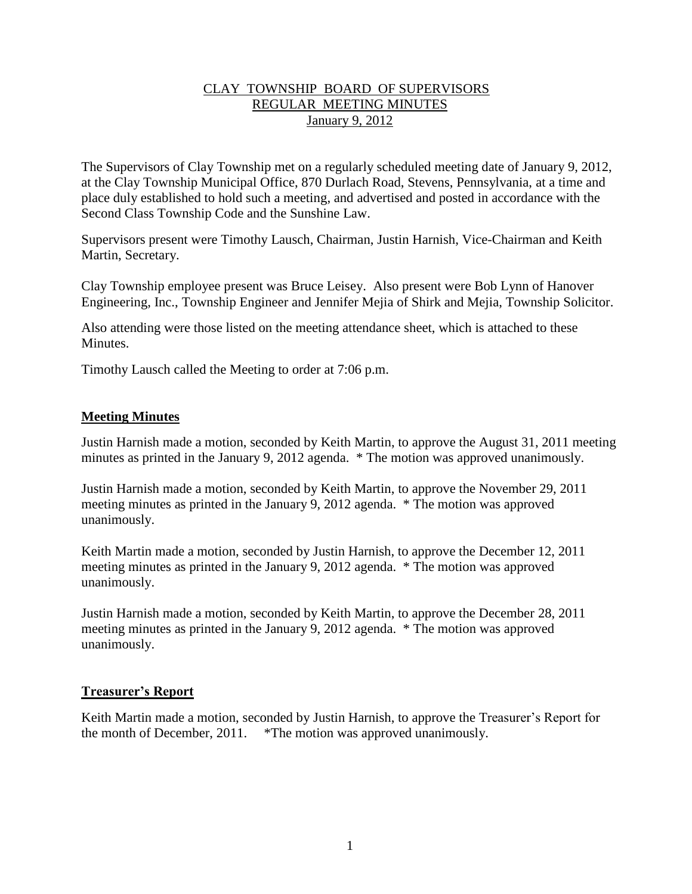## CLAY TOWNSHIP BOARD OF SUPERVISORS REGULAR MEETING MINUTES January 9, 2012

The Supervisors of Clay Township met on a regularly scheduled meeting date of January 9, 2012, at the Clay Township Municipal Office, 870 Durlach Road, Stevens, Pennsylvania, at a time and place duly established to hold such a meeting, and advertised and posted in accordance with the Second Class Township Code and the Sunshine Law.

Supervisors present were Timothy Lausch, Chairman, Justin Harnish, Vice-Chairman and Keith Martin, Secretary.

Clay Township employee present was Bruce Leisey. Also present were Bob Lynn of Hanover Engineering, Inc., Township Engineer and Jennifer Mejia of Shirk and Mejia, Township Solicitor.

Also attending were those listed on the meeting attendance sheet, which is attached to these Minutes.

Timothy Lausch called the Meeting to order at 7:06 p.m.

## **Meeting Minutes**

Justin Harnish made a motion, seconded by Keith Martin, to approve the August 31, 2011 meeting minutes as printed in the January 9, 2012 agenda. \* The motion was approved unanimously.

Justin Harnish made a motion, seconded by Keith Martin, to approve the November 29, 2011 meeting minutes as printed in the January 9, 2012 agenda. \* The motion was approved unanimously.

Keith Martin made a motion, seconded by Justin Harnish, to approve the December 12, 2011 meeting minutes as printed in the January 9, 2012 agenda. \* The motion was approved unanimously.

Justin Harnish made a motion, seconded by Keith Martin, to approve the December 28, 2011 meeting minutes as printed in the January 9, 2012 agenda. \* The motion was approved unanimously.

### **Treasurer's Report**

Keith Martin made a motion, seconded by Justin Harnish, to approve the Treasurer's Report for the month of December, 2011. \*The motion was approved unanimously.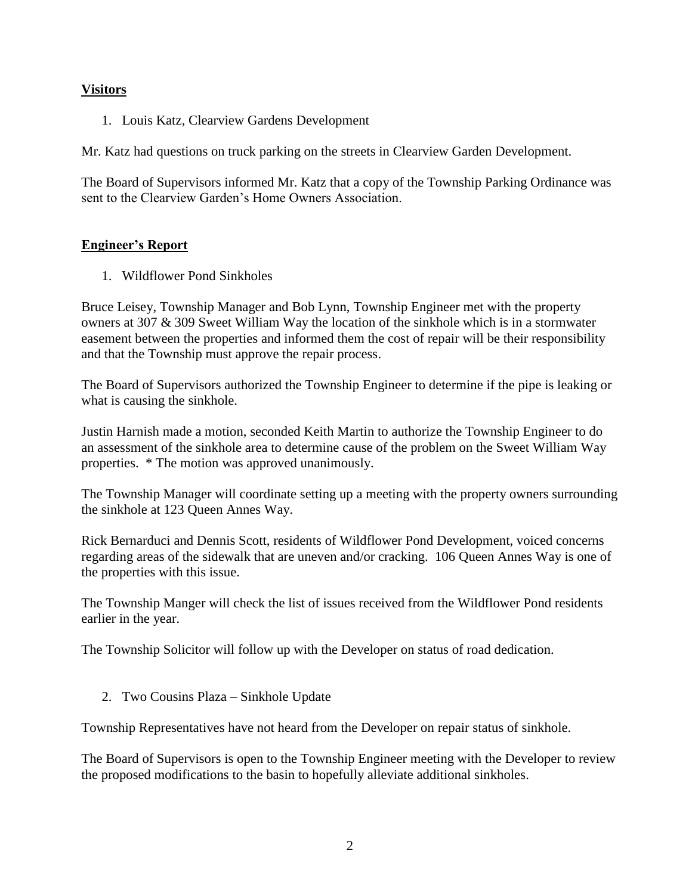## **Visitors**

1. Louis Katz, Clearview Gardens Development

Mr. Katz had questions on truck parking on the streets in Clearview Garden Development.

The Board of Supervisors informed Mr. Katz that a copy of the Township Parking Ordinance was sent to the Clearview Garden's Home Owners Association.

## **Engineer's Report**

1. Wildflower Pond Sinkholes

Bruce Leisey, Township Manager and Bob Lynn, Township Engineer met with the property owners at 307 & 309 Sweet William Way the location of the sinkhole which is in a stormwater easement between the properties and informed them the cost of repair will be their responsibility and that the Township must approve the repair process.

The Board of Supervisors authorized the Township Engineer to determine if the pipe is leaking or what is causing the sinkhole.

Justin Harnish made a motion, seconded Keith Martin to authorize the Township Engineer to do an assessment of the sinkhole area to determine cause of the problem on the Sweet William Way properties. \* The motion was approved unanimously.

The Township Manager will coordinate setting up a meeting with the property owners surrounding the sinkhole at 123 Queen Annes Way.

Rick Bernarduci and Dennis Scott, residents of Wildflower Pond Development, voiced concerns regarding areas of the sidewalk that are uneven and/or cracking. 106 Queen Annes Way is one of the properties with this issue.

The Township Manger will check the list of issues received from the Wildflower Pond residents earlier in the year.

The Township Solicitor will follow up with the Developer on status of road dedication.

2. Two Cousins Plaza – Sinkhole Update

Township Representatives have not heard from the Developer on repair status of sinkhole.

The Board of Supervisors is open to the Township Engineer meeting with the Developer to review the proposed modifications to the basin to hopefully alleviate additional sinkholes.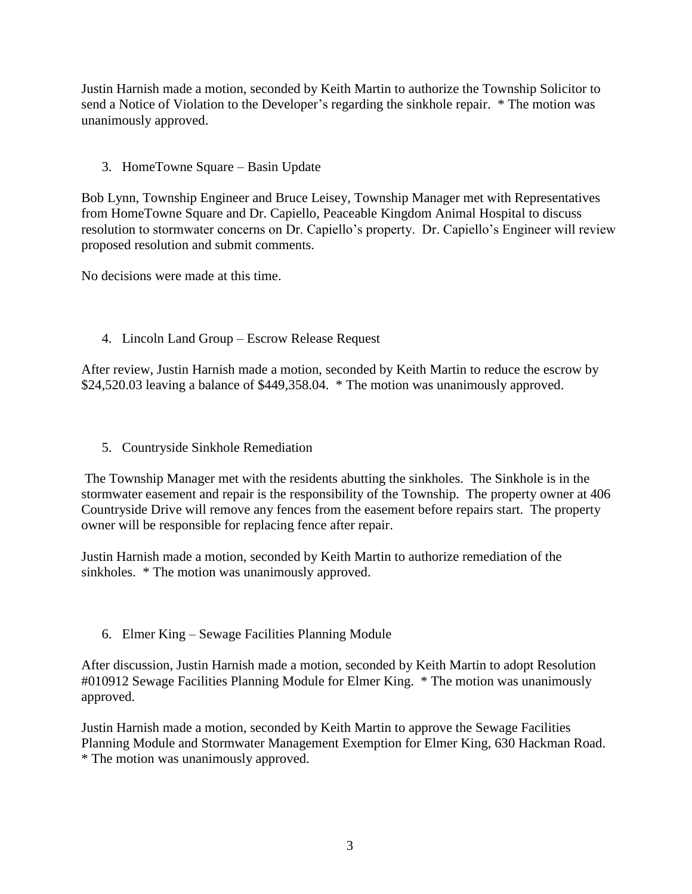Justin Harnish made a motion, seconded by Keith Martin to authorize the Township Solicitor to send a Notice of Violation to the Developer's regarding the sinkhole repair. \* The motion was unanimously approved.

## 3. HomeTowne Square – Basin Update

Bob Lynn, Township Engineer and Bruce Leisey, Township Manager met with Representatives from HomeTowne Square and Dr. Capiello, Peaceable Kingdom Animal Hospital to discuss resolution to stormwater concerns on Dr. Capiello's property. Dr. Capiello's Engineer will review proposed resolution and submit comments.

No decisions were made at this time.

4. Lincoln Land Group – Escrow Release Request

After review, Justin Harnish made a motion, seconded by Keith Martin to reduce the escrow by \$24,520.03 leaving a balance of \$449,358.04. \* The motion was unanimously approved.

5. Countryside Sinkhole Remediation

The Township Manager met with the residents abutting the sinkholes. The Sinkhole is in the stormwater easement and repair is the responsibility of the Township. The property owner at 406 Countryside Drive will remove any fences from the easement before repairs start. The property owner will be responsible for replacing fence after repair.

Justin Harnish made a motion, seconded by Keith Martin to authorize remediation of the sinkholes. \* The motion was unanimously approved.

6. Elmer King – Sewage Facilities Planning Module

After discussion, Justin Harnish made a motion, seconded by Keith Martin to adopt Resolution #010912 Sewage Facilities Planning Module for Elmer King. \* The motion was unanimously approved.

Justin Harnish made a motion, seconded by Keith Martin to approve the Sewage Facilities Planning Module and Stormwater Management Exemption for Elmer King, 630 Hackman Road. \* The motion was unanimously approved.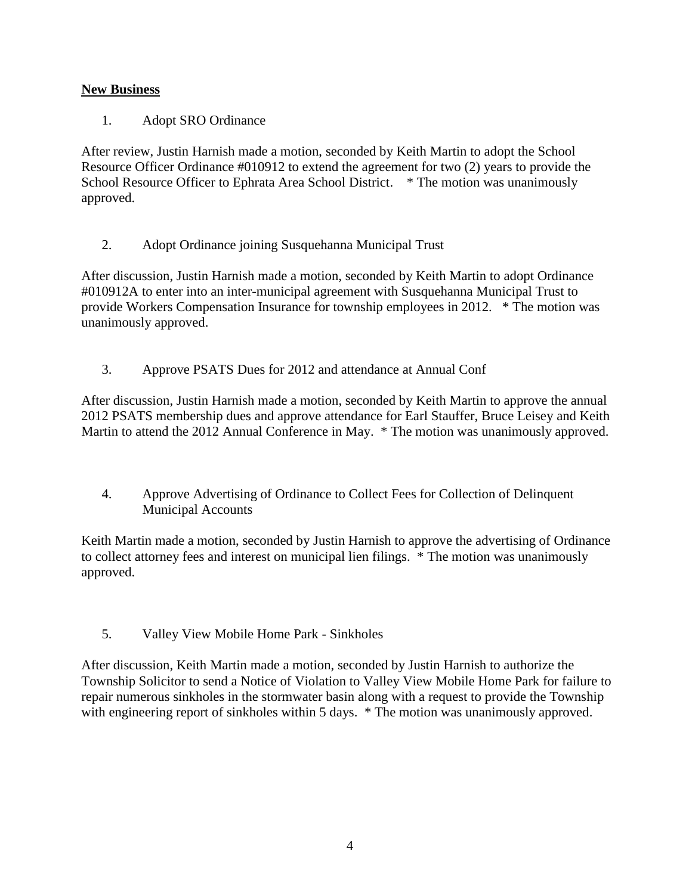# **New Business**

1. Adopt SRO Ordinance

After review, Justin Harnish made a motion, seconded by Keith Martin to adopt the School Resource Officer Ordinance #010912 to extend the agreement for two (2) years to provide the School Resource Officer to Ephrata Area School District. \* The motion was unanimously approved.

2. Adopt Ordinance joining Susquehanna Municipal Trust

After discussion, Justin Harnish made a motion, seconded by Keith Martin to adopt Ordinance #010912A to enter into an inter-municipal agreement with Susquehanna Municipal Trust to provide Workers Compensation Insurance for township employees in 2012. \* The motion was unanimously approved.

3. Approve PSATS Dues for 2012 and attendance at Annual Conf

After discussion, Justin Harnish made a motion, seconded by Keith Martin to approve the annual 2012 PSATS membership dues and approve attendance for Earl Stauffer, Bruce Leisey and Keith Martin to attend the 2012 Annual Conference in May. \* The motion was unanimously approved.

4. Approve Advertising of Ordinance to Collect Fees for Collection of Delinquent Municipal Accounts

Keith Martin made a motion, seconded by Justin Harnish to approve the advertising of Ordinance to collect attorney fees and interest on municipal lien filings. \* The motion was unanimously approved.

5. Valley View Mobile Home Park - Sinkholes

After discussion, Keith Martin made a motion, seconded by Justin Harnish to authorize the Township Solicitor to send a Notice of Violation to Valley View Mobile Home Park for failure to repair numerous sinkholes in the stormwater basin along with a request to provide the Township with engineering report of sinkholes within 5 days. \* The motion was unanimously approved.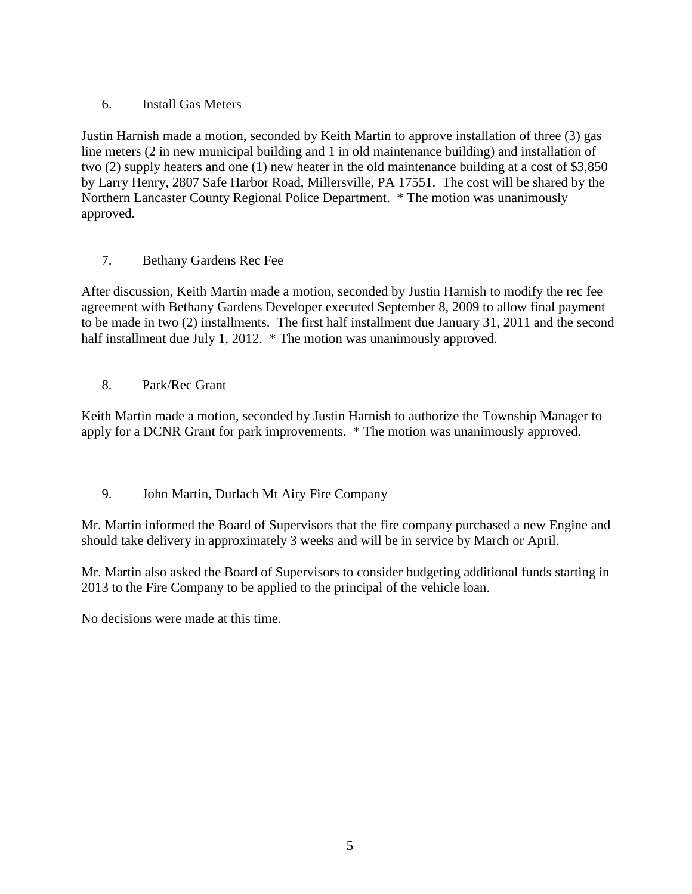# 6. Install Gas Meters

Justin Harnish made a motion, seconded by Keith Martin to approve installation of three (3) gas line meters (2 in new municipal building and 1 in old maintenance building) and installation of two (2) supply heaters and one (1) new heater in the old maintenance building at a cost of \$3,850 by Larry Henry, 2807 Safe Harbor Road, Millersville, PA 17551. The cost will be shared by the Northern Lancaster County Regional Police Department. \* The motion was unanimously approved.

7. Bethany Gardens Rec Fee

After discussion, Keith Martin made a motion, seconded by Justin Harnish to modify the rec fee agreement with Bethany Gardens Developer executed September 8, 2009 to allow final payment to be made in two (2) installments. The first half installment due January 31, 2011 and the second half installment due July 1, 2012. \* The motion was unanimously approved.

8. Park/Rec Grant

Keith Martin made a motion, seconded by Justin Harnish to authorize the Township Manager to apply for a DCNR Grant for park improvements. \* The motion was unanimously approved.

9. John Martin, Durlach Mt Airy Fire Company

Mr. Martin informed the Board of Supervisors that the fire company purchased a new Engine and should take delivery in approximately 3 weeks and will be in service by March or April.

Mr. Martin also asked the Board of Supervisors to consider budgeting additional funds starting in 2013 to the Fire Company to be applied to the principal of the vehicle loan.

No decisions were made at this time.